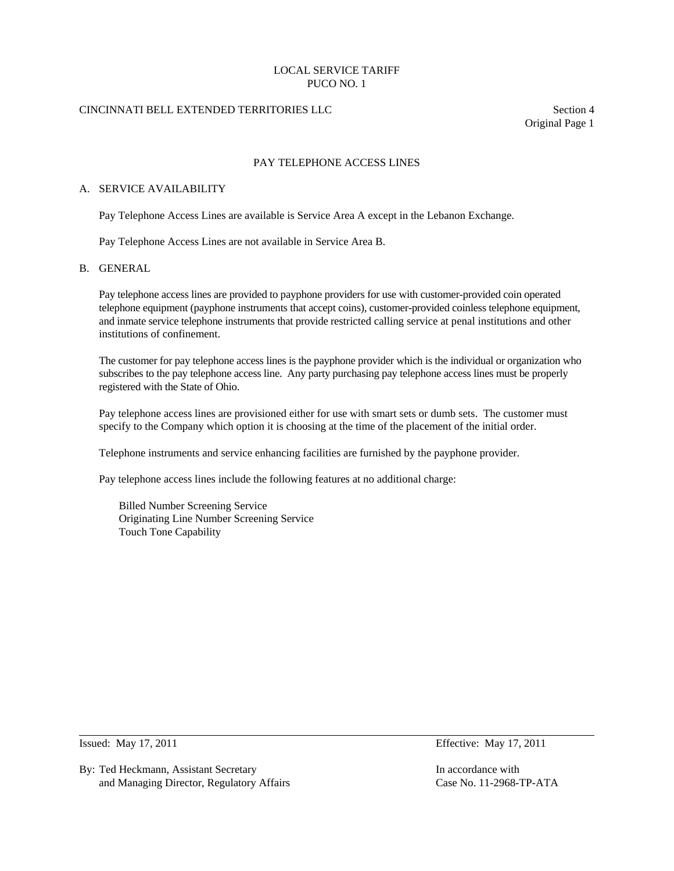# LOCAL SERVICE TARIFF PUCO NO. 1

# CINCINNATI BELL EXTENDED TERRITORIES LLC Section 4

Original Page 1

# PAY TELEPHONE ACCESS LINES

#### A. SERVICE AVAILABILITY

Pay Telephone Access Lines are available is Service Area A except in the Lebanon Exchange.

Pay Telephone Access Lines are not available in Service Area B.

#### B. GENERAL

 Pay telephone access lines are provided to payphone providers for use with customer-provided coin operated telephone equipment (payphone instruments that accept coins), customer-provided coinless telephone equipment, and inmate service telephone instruments that provide restricted calling service at penal institutions and other institutions of confinement.

 The customer for pay telephone access lines is the payphone provider which is the individual or organization who subscribes to the pay telephone access line. Any party purchasing pay telephone access lines must be properly registered with the State of Ohio.

 Pay telephone access lines are provisioned either for use with smart sets or dumb sets. The customer must specify to the Company which option it is choosing at the time of the placement of the initial order.

Telephone instruments and service enhancing facilities are furnished by the payphone provider.

Pay telephone access lines include the following features at no additional charge:

 Billed Number Screening Service Originating Line Number Screening Service Touch Tone Capability

 $\overline{a}$ 

Issued: May 17, 2011 Effective: May 17, 2011

By: Ted Heckmann, Assistant Secretary In accordance with In accordance with and Managing Director, Regulatory Affairs Case No. 11-2968-TP-ATA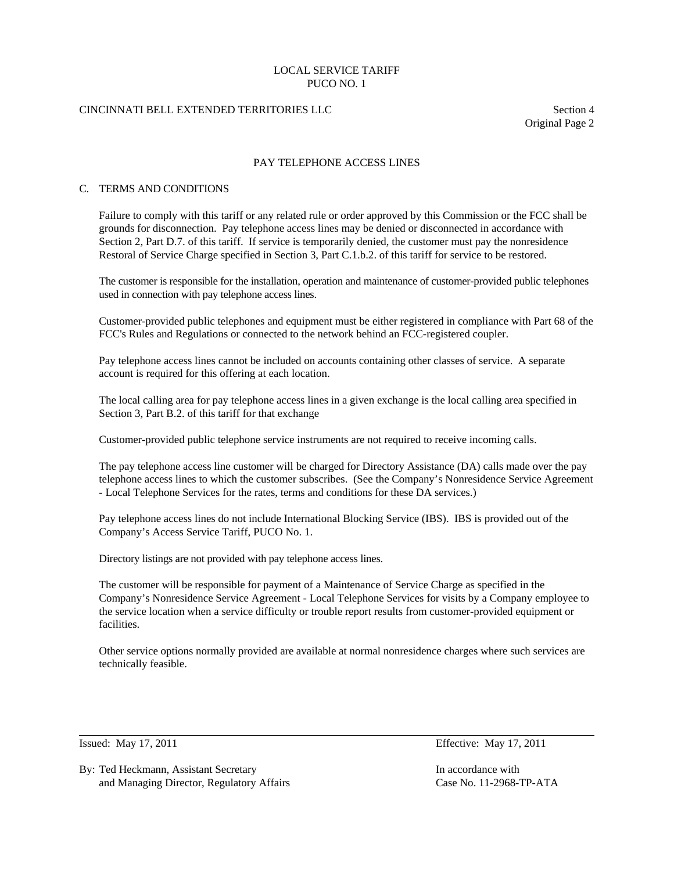## LOCAL SERVICE TARIFF PUCO NO. 1

# CINCINNATI BELL EXTENDED TERRITORIES LLC Section 4

Original Page 2

## PAY TELEPHONE ACCESS LINES

#### C. TERMS AND CONDITIONS

 Failure to comply with this tariff or any related rule or order approved by this Commission or the FCC shall be grounds for disconnection. Pay telephone access lines may be denied or disconnected in accordance with Section 2, Part D.7. of this tariff. If service is temporarily denied, the customer must pay the nonresidence Restoral of Service Charge specified in Section 3, Part C.1.b.2. of this tariff for service to be restored.

 The customer is responsible for the installation, operation and maintenance of customer-provided public telephones used in connection with pay telephone access lines.

 Customer-provided public telephones and equipment must be either registered in compliance with Part 68 of the FCC's Rules and Regulations or connected to the network behind an FCC-registered coupler.

 Pay telephone access lines cannot be included on accounts containing other classes of service. A separate account is required for this offering at each location.

 The local calling area for pay telephone access lines in a given exchange is the local calling area specified in Section 3, Part B.2. of this tariff for that exchange

Customer-provided public telephone service instruments are not required to receive incoming calls.

 The pay telephone access line customer will be charged for Directory Assistance (DA) calls made over the pay telephone access lines to which the customer subscribes. (See the Company's Nonresidence Service Agreement - Local Telephone Services for the rates, terms and conditions for these DA services.)

 Pay telephone access lines do not include International Blocking Service (IBS). IBS is provided out of the Company's Access Service Tariff, PUCO No. 1.

Directory listings are not provided with pay telephone access lines.

 The customer will be responsible for payment of a Maintenance of Service Charge as specified in the Company's Nonresidence Service Agreement - Local Telephone Services for visits by a Company employee to the service location when a service difficulty or trouble report results from customer-provided equipment or facilities.

 Other service options normally provided are available at normal nonresidence charges where such services are technically feasible.

 $\overline{a}$ 

By: Ted Heckmann, Assistant Secretary In accordance with In accordance with and Managing Director, Regulatory Affairs Case No. 11-2968-TP-ATA

Issued: May 17, 2011 Effective: May 17, 2011